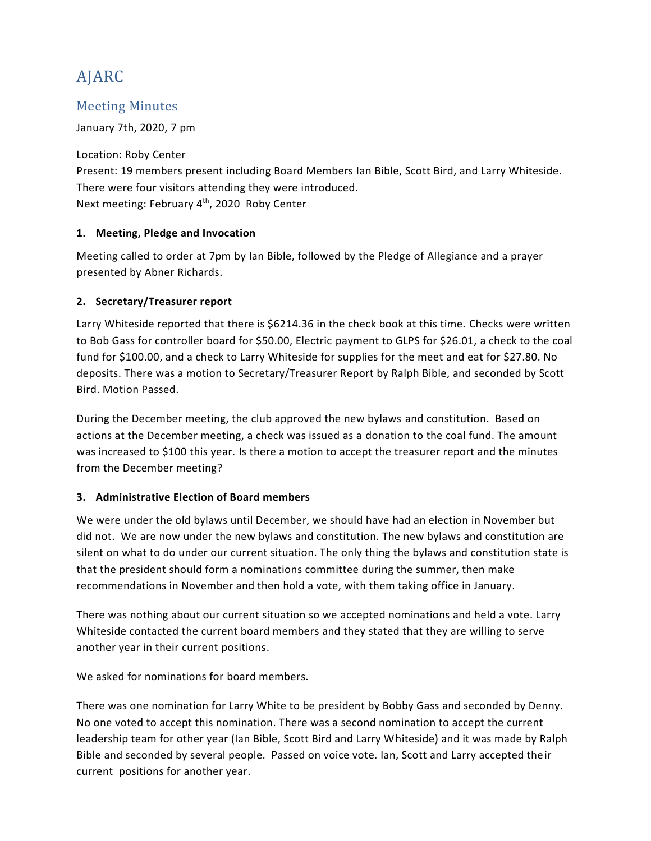# AJARC

# Meeting Minutes

January 7th, 2020, 7 pm

Location: Roby Center Present: 19 members present including Board Members Ian Bible, Scott Bird, and Larry Whiteside. There were four visitors attending they were introduced. Next meeting: February 4<sup>th</sup>, 2020 Roby Center

#### **1. Meeting, Pledge and Invocation**

Meeting called to order at 7pm by Ian Bible, followed by the Pledge of Allegiance and a prayer presented by Abner Richards.

### **2. Secretary/Treasurer report**

Larry Whiteside reported that there is \$6214.36 in the check book at this time. Checks were written to Bob Gass for controller board for \$50.00, Electric payment to GLPS for \$26.01, a check to the coal fund for \$100.00, and a check to Larry Whiteside for supplies for the meet and eat for \$27.80. No deposits. There was a motion to Secretary/Treasurer Report by Ralph Bible, and seconded by Scott Bird. Motion Passed.

During the December meeting, the club approved the new bylaws and constitution. Based on actions at the December meeting, a check was issued as a donation to the coal fund. The amount was increased to \$100 this year. Is there a motion to accept the treasurer report and the minutes from the December meeting?

#### **3. Administrative Election of Board members**

We were under the old bylaws until December, we should have had an election in November but did not. We are now under the new bylaws and constitution. The new bylaws and constitution are silent on what to do under our current situation. The only thing the bylaws and constitution state is that the president should form a nominations committee during the summer, then make recommendations in November and then hold a vote, with them taking office in January.

There was nothing about our current situation so we accepted nominations and held a vote. Larry Whiteside contacted the current board members and they stated that they are willing to serve another year in their current positions.

We asked for nominations for board members.

There was one nomination for Larry White to be president by Bobby Gass and seconded by Denny. No one voted to accept this nomination. There was a second nomination to accept the current leadership team for other year (Ian Bible, Scott Bird and Larry Whiteside) and it was made by Ralph Bible and seconded by several people. Passed on voice vote. Ian, Scott and Larry accepted their current positions for another year.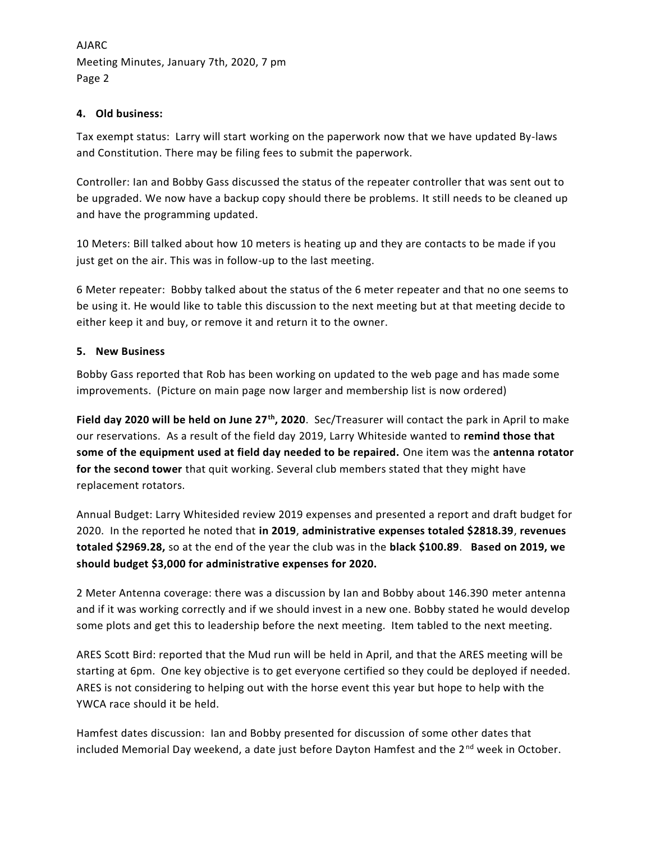AJARC Meeting Minutes, January 7th, 2020, 7 pm Page 2

#### **4. Old business:**

Tax exempt status: Larry will start working on the paperwork now that we have updated By-laws and Constitution. There may be filing fees to submit the paperwork.

Controller: Ian and Bobby Gass discussed the status of the repeater controller that was sent out to be upgraded. We now have a backup copy should there be problems. It still needs to be cleaned up and have the programming updated.

10 Meters: Bill talked about how 10 meters is heating up and they are contacts to be made if you just get on the air. This was in follow-up to the last meeting.

6 Meter repeater: Bobby talked about the status of the 6 meter repeater and that no one seems to be using it. He would like to table this discussion to the next meeting but at that meeting decide to either keep it and buy, or remove it and return it to the owner.

#### **5. New Business**

Bobby Gass reported that Rob has been working on updated to the web page and has made some improvements. (Picture on main page now larger and membership list is now ordered)

**Field day 2020 will be held on June 27th, 2020**. Sec/Treasurer will contact the park in April to make our reservations. As a result of the field day 2019, Larry Whiteside wanted to **remind those that some of the equipment used at field day needed to be repaired.** One item was the **antenna rotator for the second tower** that quit working. Several club members stated that they might have replacement rotators.

Annual Budget: Larry Whitesided review 2019 expenses and presented a report and draft budget for 2020. In the reported he noted that **in 2019**, **administrative expenses totaled \$2818.39**, **revenues totaled \$2969.28,** so at the end of the year the club was in the **black \$100.89**. **Based on 2019, we should budget \$3,000 for administrative expenses for 2020.**

2 Meter Antenna coverage: there was a discussion by Ian and Bobby about 146.390 meter antenna and if it was working correctly and if we should invest in a new one. Bobby stated he would develop some plots and get this to leadership before the next meeting. Item tabled to the next meeting.

ARES Scott Bird: reported that the Mud run will be held in April, and that the ARES meeting will be starting at 6pm. One key objective is to get everyone certified so they could be deployed if needed. ARES is not considering to helping out with the horse event this year but hope to help with the YWCA race should it be held.

Hamfest dates discussion: Ian and Bobby presented for discussion of some other dates that included Memorial Day weekend, a date just before Dayton Hamfest and the 2<sup>nd</sup> week in October.